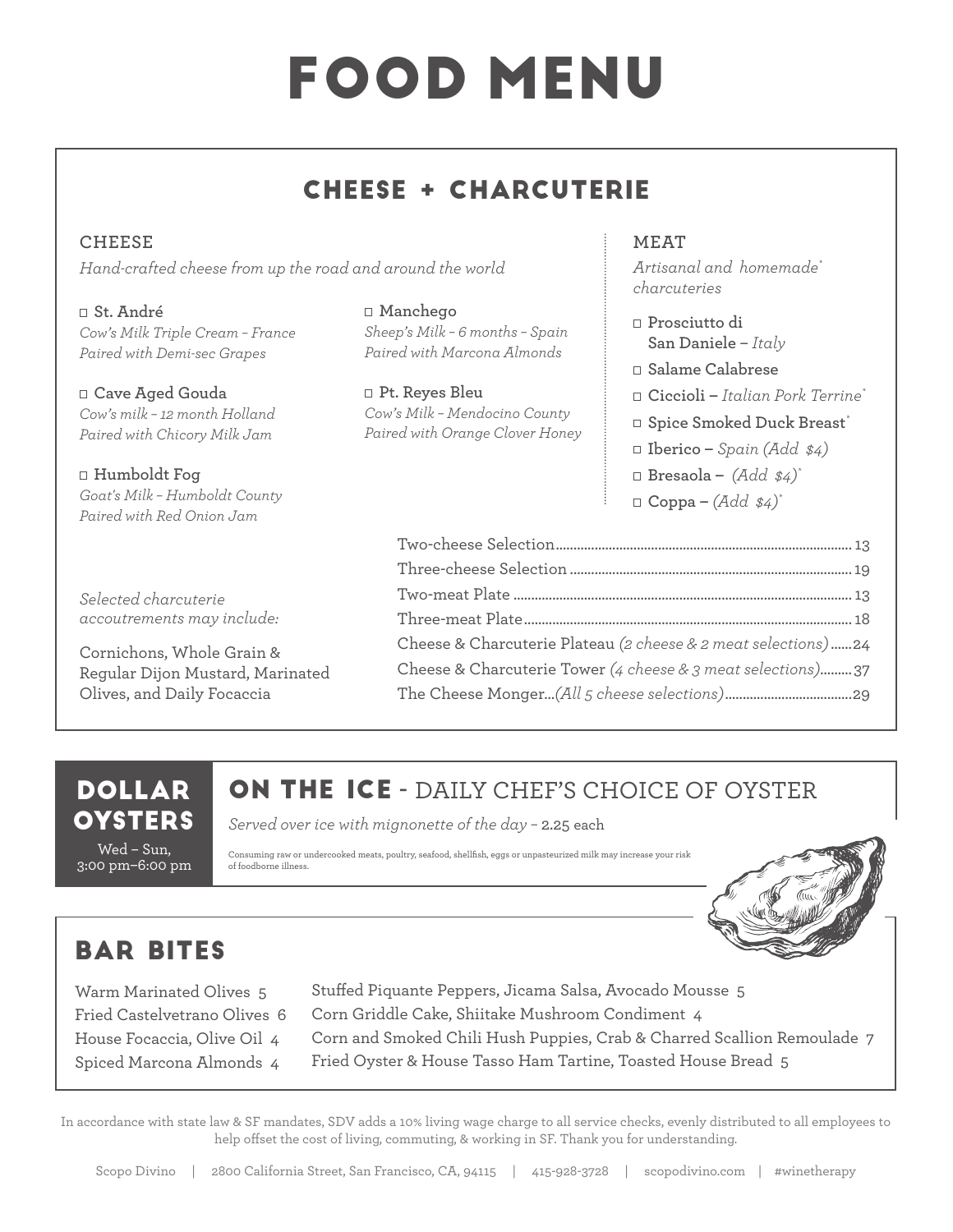# FOOD MENU

## CHEESE + CHARCUTERIE

**CHEESE**  *Hand-crafted cheese from up the road and around the world*

**St. André** *Cow's Milk Triple Cream – France Paired with Demi-sec Grapes*

**Cave Aged Gouda**  *Cow's milk – 12 month Holland Paired with Chicory Milk Jam*

**Humboldt Fog** *Goat's Milk – Humboldt County Paired with Red Onion Jam*

*Selected charcuterie accoutrements may include:*

Cornichons, Whole Grain & Regular Dijon Mustard, Marinated Olives, and Daily Focaccia

**Manchego**  *Sheep's Milk – 6 months – Spain Paired with Marcona Almonds*

**Pt. Reyes Bleu** *Cow's Milk – Mendocino County Paired with Orange Clover Honey*

#### **MEAT**

*Artisanal and homemade\* charcuteries*

- **Prosciutto di San Daniele** – *Italy*
- **Salame Calabrese**
- **Ciccioli** *Italian Pork Terrine\**
- **Spice Smoked Duck Breast***\**
- **Iberico** *Spain (Add \$4)*
- **Bresaola** *(Add \$4)\**
- $\Box$  **Coppa**  $(Add \$

| Cheese & Charcuterie Plateau (2 cheese & 2 meat selections)24 |  |
|---------------------------------------------------------------|--|
| Cheese & Charcuterie Tower (4 cheese & 3 meat selections)37   |  |
|                                                               |  |

### DOLLAR **OYSTERS**

Wed – Sun, 3:00 pm–6:00 pm

## ON THE ICE **-** DAILY CHEF'S CHOICE OF OYSTER

*Served over ice with mignonette of the day –* 2.25 each

Consuming raw or undercooked meats, poultry, seafood, shellfish, eggs or unpasteurized milk may increase your risk of foodborne illness.



## BAR BITES

Warm Marinated Olives 5 Fried Castelvetrano Olives 6 House Focaccia, Olive Oil 4 Spiced Marcona Almonds 4

Stuffed Piquante Peppers, Jicama Salsa, Avocado Mousse 5 Corn Griddle Cake, Shiitake Mushroom Condiment 4 Corn and Smoked Chili Hush Puppies, Crab & Charred Scallion Remoulade 7 Fried Oyster & House Tasso Ham Tartine, Toasted House Bread 5

In accordance with state law & SF mandates, SDV adds a 10% living wage charge to all service checks, evenly distributed to all employees to help offset the cost of living, commuting, & working in SF. Thank you for understanding.